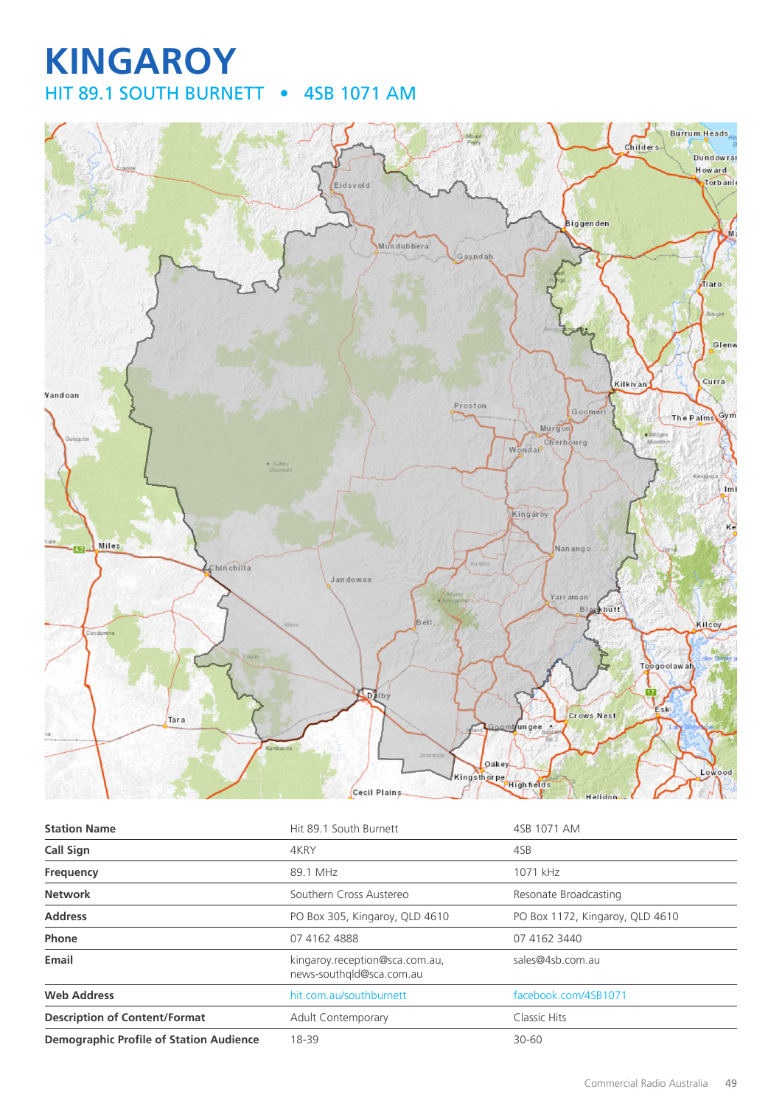## **KINGAROY** HIT 89.1 SOUTH BURNETT • 4SB 1071 AM



| <b>Station Name</b>                            | Hit 89.1 South Burnett                                     | 4SB 1071 AM                     |
|------------------------------------------------|------------------------------------------------------------|---------------------------------|
| <b>Call Sign</b>                               | 4KRY                                                       | 4SB                             |
| Frequency                                      | 89.1 MHz                                                   | 1071 kHz                        |
| <b>Network</b>                                 | Southern Cross Austereo                                    | Resonate Broadcasting           |
| <b>Address</b>                                 | PO Box 305, Kingaroy, QLD 4610                             | PO Box 1172, Kingaroy, QLD 4610 |
| Phone                                          | 07 4162 4888                                               | 07 4162 3440                    |
| Email                                          | kingaroy.reception@sca.com.au,<br>news-southgld@sca.com.au | sales@4sb.com.au                |
| <b>Web Address</b>                             | hit.com.au/southburnett                                    | facebook.com/4SB1071            |
| <b>Description of Content/Format</b>           | <b>Adult Contemporary</b>                                  | Classic Hits                    |
| <b>Demographic Profile of Station Audience</b> | 18-39                                                      | $30 - 60$                       |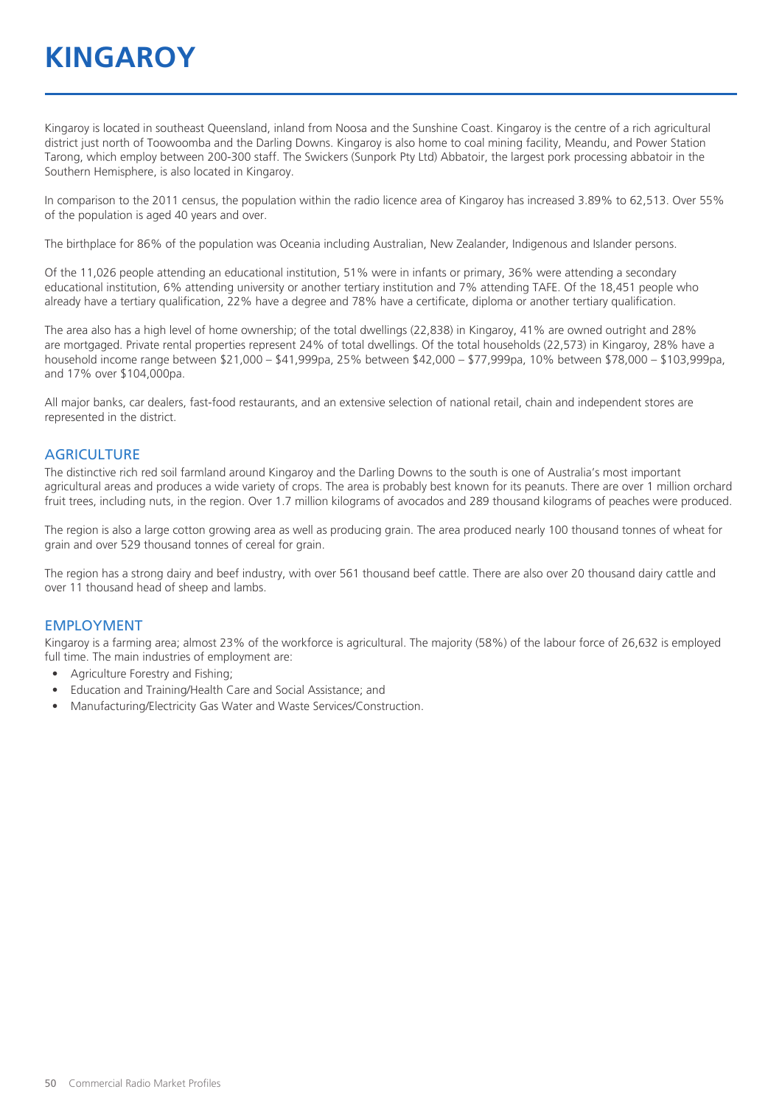## **KINGAROY**

Kingaroy is located in southeast Queensland, inland from Noosa and the Sunshine Coast. Kingaroy is the centre of a rich agricultural district just north of Toowoomba and the Darling Downs. Kingaroy is also home to coal mining facility, Meandu, and Power Station Tarong, which employ between 200-300 staff. The Swickers (Sunpork Pty Ltd) Abbatoir, the largest pork processing abbatoir in the Southern Hemisphere, is also located in Kingaroy.

In comparison to the 2011 census, the population within the radio licence area of Kingaroy has increased 3.89% to 62,513. Over 55% of the population is aged 40 years and over.

The birthplace for 86% of the population was Oceania including Australian, New Zealander, Indigenous and Islander persons.

Of the 11,026 people attending an educational institution, 51% were in infants or primary, 36% were attending a secondary educational institution, 6% attending university or another tertiary institution and 7% attending TAFE. Of the 18,451 people who already have a tertiary qualification, 22% have a degree and 78% have a certificate, diploma or another tertiary qualification.

The area also has a high level of home ownership; of the total dwellings (22,838) in Kingaroy, 41% are owned outright and 28% are mortgaged. Private rental properties represent 24% of total dwellings. Of the total households (22,573) in Kingaroy, 28% have a household income range between \$21,000 – \$41,999pa, 25% between \$42,000 – \$77,999pa, 10% between \$78,000 – \$103,999pa, and 17% over \$104,000pa.

All major banks, car dealers, fast-food restaurants, and an extensive selection of national retail, chain and independent stores are represented in the district.

#### **AGRICULTURE**

The distinctive rich red soil farmland around Kingaroy and the Darling Downs to the south is one of Australia's most important agricultural areas and produces a wide variety of crops. The area is probably best known for its peanuts. There are over 1 million orchard fruit trees, including nuts, in the region. Over 1.7 million kilograms of avocados and 289 thousand kilograms of peaches were produced.

The region is also a large cotton growing area as well as producing grain. The area produced nearly 100 thousand tonnes of wheat for grain and over 529 thousand tonnes of cereal for grain.

The region has a strong dairy and beef industry, with over 561 thousand beef cattle. There are also over 20 thousand dairy cattle and over 11 thousand head of sheep and lambs.

#### EMPLOYMENT

Kingaroy is a farming area; almost 23% of the workforce is agricultural. The majority (58%) of the labour force of 26,632 is employed full time. The main industries of employment are:

- Agriculture Forestry and Fishing;
- Education and Training/Health Care and Social Assistance; and
- Manufacturing/Electricity Gas Water and Waste Services/Construction.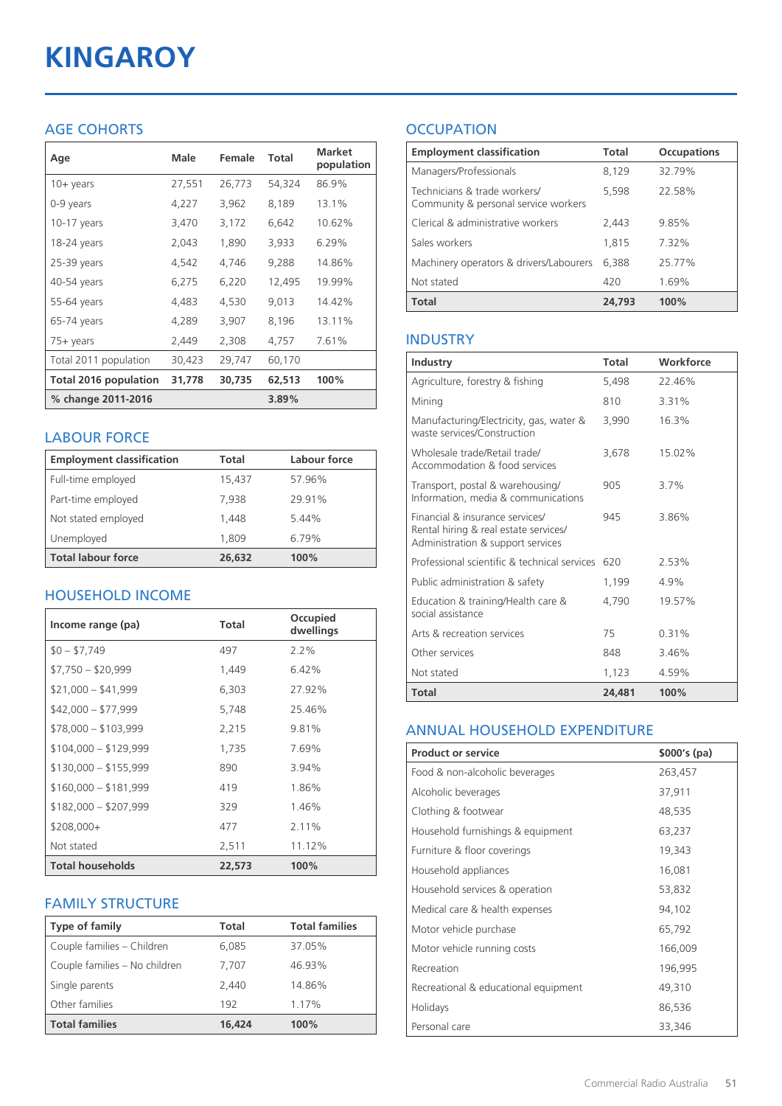# **KINGAROY**

#### AGE COHORTS

| Age                          | Male   | Female | Total  | <b>Market</b><br>population |
|------------------------------|--------|--------|--------|-----------------------------|
| $10 + \gamma$ ears           | 27,551 | 26,773 | 54,324 | 86.9%                       |
| 0-9 years                    | 4,227  | 3,962  | 8,189  | 13.1%                       |
| $10-17$ years                | 3,470  | 3,172  | 6,642  | 10.62%                      |
| 18-24 years                  | 2,043  | 1,890  | 3,933  | 6.29%                       |
| 25-39 years                  | 4,542  | 4,746  | 9,288  | 14.86%                      |
| 40-54 years                  | 6,275  | 6,220  | 12,495 | 19.99%                      |
| 55-64 years                  | 4,483  | 4,530  | 9,013  | 14.42%                      |
| 65-74 years                  | 4,289  | 3,907  | 8,196  | 13.11%                      |
| $75+$ years                  | 2,449  | 2,308  | 4,757  | 7.61%                       |
| Total 2011 population        | 30,423 | 29,747 | 60,170 |                             |
| <b>Total 2016 population</b> | 31,778 | 30,735 | 62,513 | 100%                        |
| % change 2011-2016           |        |        | 3.89%  |                             |

#### LABOUR FORCE

| <b>Employment classification</b> | Total  | Labour force |
|----------------------------------|--------|--------------|
| Full-time employed               | 15,437 | 57.96%       |
| Part-time employed               | 7.938  | 29.91%       |
| Not stated employed              | 1.448  | 5.44%        |
| Unemployed                       | 1,809  | 6.79%        |
| <b>Total labour force</b>        | 26,632 | 100%         |

#### HOUSEHOLD INCOME

| Income range (pa)       | Total  | Occupied<br>dwellings |
|-------------------------|--------|-----------------------|
| $$0 - $7,749$           | 497    | $2.2\%$               |
| $$7,750 - $20,999$      | 1,449  | 6.42%                 |
| $$21,000 - $41,999$     | 6,303  | 27.92%                |
| $$42,000 - $77,999$     | 5,748  | 25.46%                |
| $$78,000 - $103,999$    | 2,215  | 9.81%                 |
| $$104,000 - $129,999$   | 1,735  | 7.69%                 |
| $$130,000 - $155,999$   | 890    | 3.94%                 |
| $$160,000 - $181,999$   | 419    | 1.86%                 |
| $$182,000 - $207,999$   | 329    | 1.46%                 |
| $$208,000+$             | 477    | 2.11%                 |
| Not stated              | 2,511  | 11.12%                |
| <b>Total households</b> | 22,573 | 100%                  |

#### FAMILY STRUCTURE

| <b>Type of family</b>         | Total  | <b>Total families</b> |
|-------------------------------|--------|-----------------------|
| Couple families - Children    | 6,085  | 37.05%                |
| Couple families - No children | 7.707  | 46.93%                |
| Single parents                | 2.440  | 14.86%                |
| Other families                | 192    | 1.17%                 |
| <b>Total families</b>         | 16,424 | 100%                  |

### **OCCUPATION**

| <b>Employment classification</b>                                     | <b>Total</b> | <b>Occupations</b> |
|----------------------------------------------------------------------|--------------|--------------------|
| Managers/Professionals                                               | 8,129        | 32.79%             |
| Technicians & trade workers/<br>Community & personal service workers | 5,598        | 22.58%             |
| Clerical & administrative workers                                    | 2.443        | 9.85%              |
| Sales workers                                                        | 1,815        | 7.32%              |
| Machinery operators & drivers/Labourers                              | 6.388        | 25.77%             |
| Not stated                                                           | 420          | 1.69%              |
| <b>Total</b>                                                         | 24,793       | 100%               |

#### INDUSTRY

| Industry                                                                                                      | <b>Total</b> | Workforce |
|---------------------------------------------------------------------------------------------------------------|--------------|-----------|
| Agriculture, forestry & fishing                                                                               | 5.498        | 22.46%    |
| Mining                                                                                                        | 810          | 3.31%     |
| Manufacturing/Electricity, gas, water &<br>waste services/Construction                                        | 3,990        | 16.3%     |
| Wholesale trade/Retail trade/<br>Accommodation & food services                                                | 3.678        | 15.02%    |
| Transport, postal & warehousing/<br>Information, media & communications                                       | 905          | 3.7%      |
| Financial & insurance services/<br>Rental hiring & real estate services/<br>Administration & support services | 945          | 3.86%     |
| Professional scientific & technical services                                                                  | 620          | 2.53%     |
| Public administration & safety                                                                                | 1,199        | 4.9%      |
| Education & training/Health care &<br>social assistance                                                       | 4,790        | 19.57%    |
| Arts & recreation services                                                                                    | 75           | 0.31%     |
| Other services                                                                                                | 848          | 3.46%     |
| Not stated                                                                                                    | 1,123        | 4.59%     |
| Total                                                                                                         | 24,481       | 100%      |

#### ANNUAL HOUSEHOLD EXPENDITURE

| <b>Product or service</b>            | $$000's$ (pa) |
|--------------------------------------|---------------|
| Food & non-alcoholic beverages       | 263,457       |
| Alcoholic beverages                  | 37,911        |
| Clothing & footwear                  | 48,535        |
| Household furnishings & equipment    | 63,237        |
| Furniture & floor coverings          | 19,343        |
| Household appliances                 | 16,081        |
| Household services & operation       | 53,832        |
| Medical care & health expenses       | 94,102        |
| Motor vehicle purchase               | 65,792        |
| Motor vehicle running costs          | 166,009       |
| Recreation                           | 196,995       |
| Recreational & educational equipment | 49,310        |
| Holidays                             | 86,536        |
| Personal care                        | 33,346        |